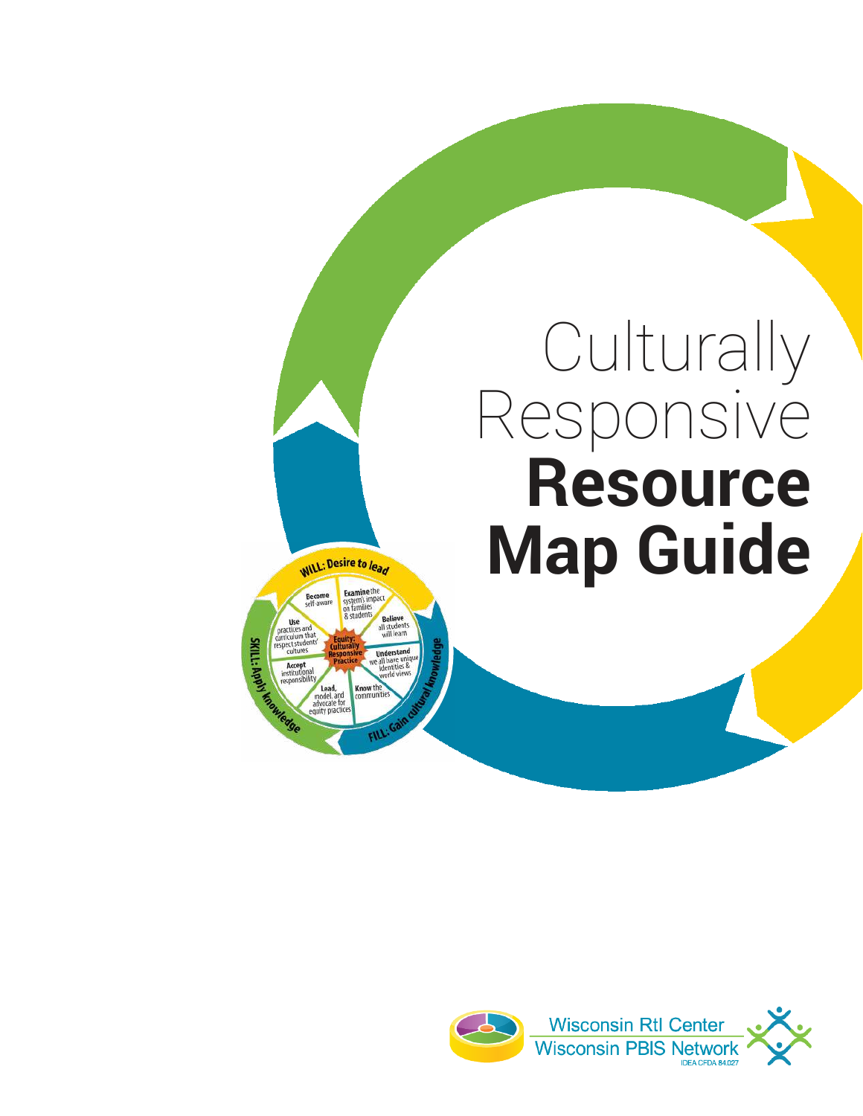# Culturally Responsive **Resource Map Guide**



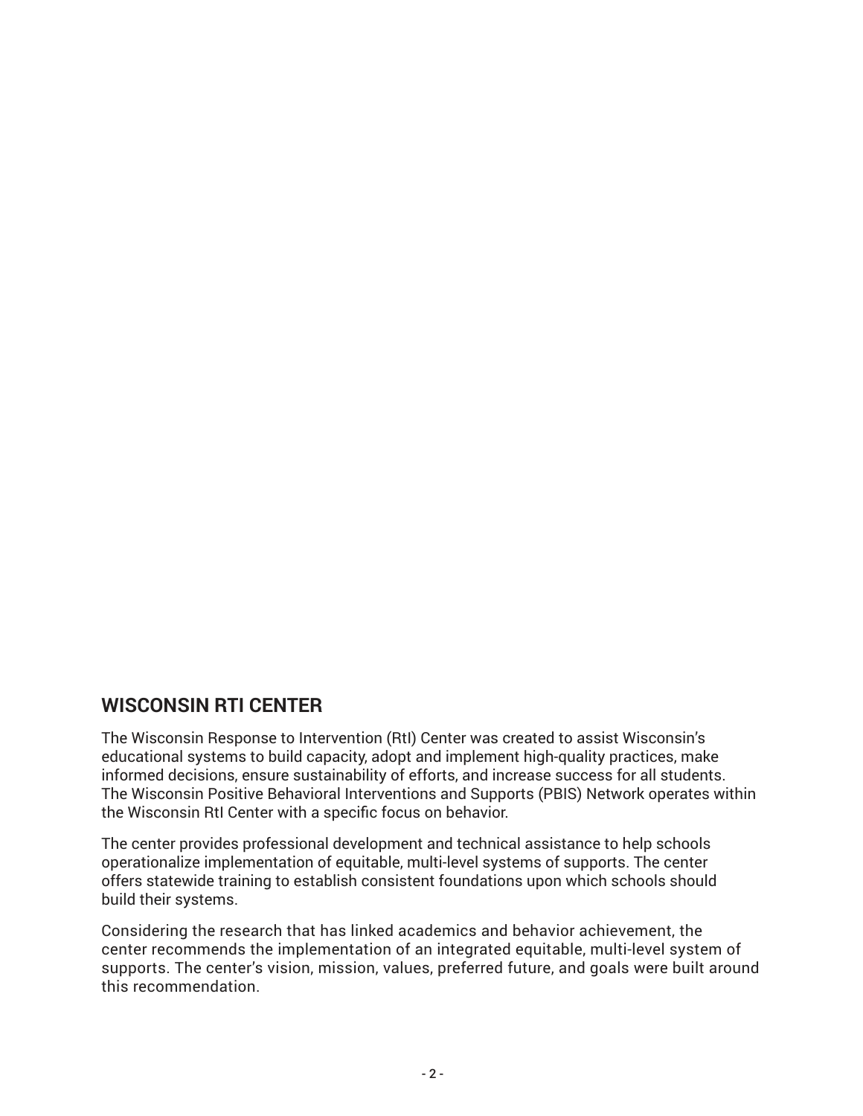## **WISCONSIN RTI CENTER**

The Wisconsin Response to Intervention (RtI) Center was created to assist Wisconsin's educational systems to build capacity, adopt and implement high-quality practices, make informed decisions, ensure sustainability of efforts, and increase success for all students. The Wisconsin Positive Behavioral Interventions and Supports (PBIS) Network operates within the Wisconsin RtI Center with a specific focus on behavior.

The center provides professional development and technical assistance to help schools operationalize implementation of equitable, multi-level systems of supports. The center offers statewide training to establish consistent foundations upon which schools should build their systems.

Considering the research that has linked academics and behavior achievement, the center recommends the implementation of an integrated equitable, multi-level system of supports. The center's vision, mission, values, preferred future, and goals were built around this recommendation.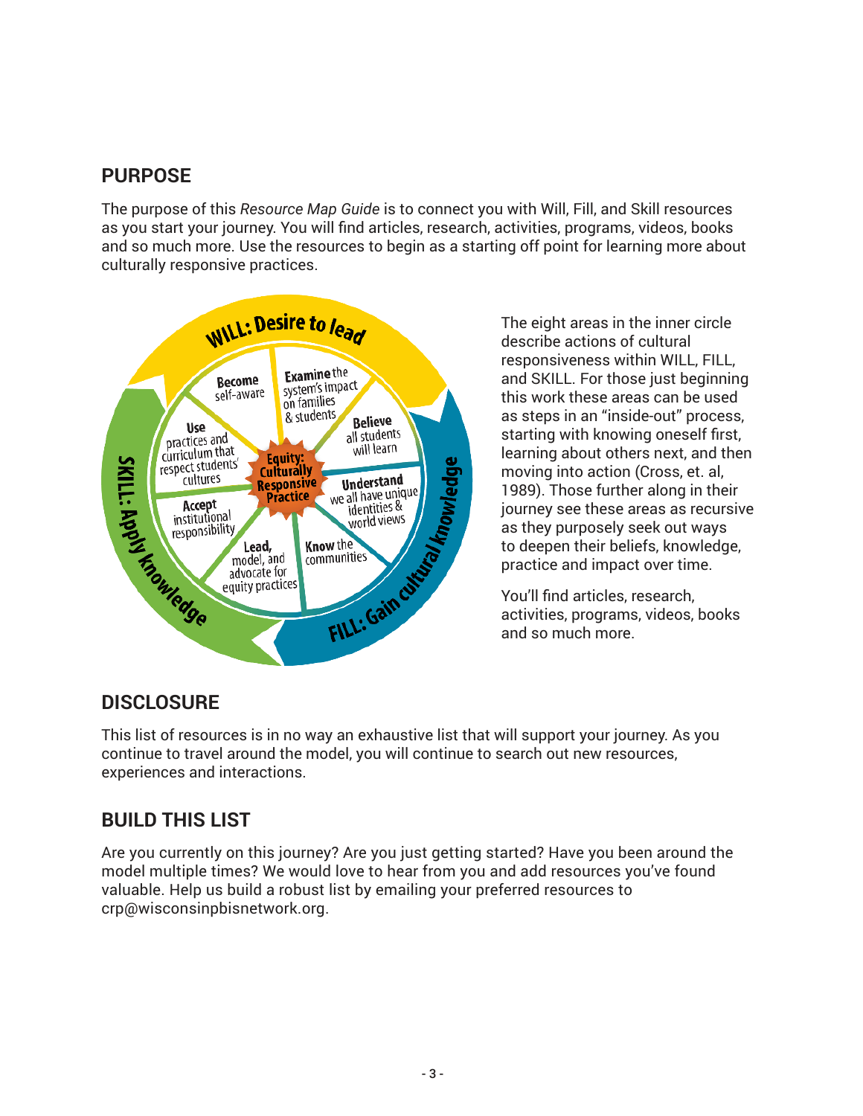# **PURPOSE**

The purpose of this *Resource Map Guide* is to connect you with Will, Fill, and Skill resources as you start your journey. You will find articles, research, activities, programs, videos, books and so much more. Use the resources to begin as a starting off point for learning more about culturally responsive practices.



The eight areas in the inner circle describe actions of cultural responsiveness within WILL, FILL, and SKILL. For those just beginning this work these areas can be used as steps in an "inside-out" process, starting with knowing oneself first, learning about others next, and then moving into action (Cross, et. al, 1989). Those further along in their journey see these areas as recursive as they purposely seek out ways to deepen their beliefs, knowledge, practice and impact over time.

You'll find articles, research, activities, programs, videos, books and so much more.

## **DISCLOSURE**

This list of resources is in no way an exhaustive list that will support your journey. As you continue to travel around the model, you will continue to search out new resources, experiences and interactions.

# **BUILD THIS LIST**

Are you currently on this journey? Are you just getting started? Have you been around the model multiple times? We would love to hear from you and add resources you've found valuable. Help us build a robust list by emailing your preferred resources to crp@wisconsinpbisnetwork.org.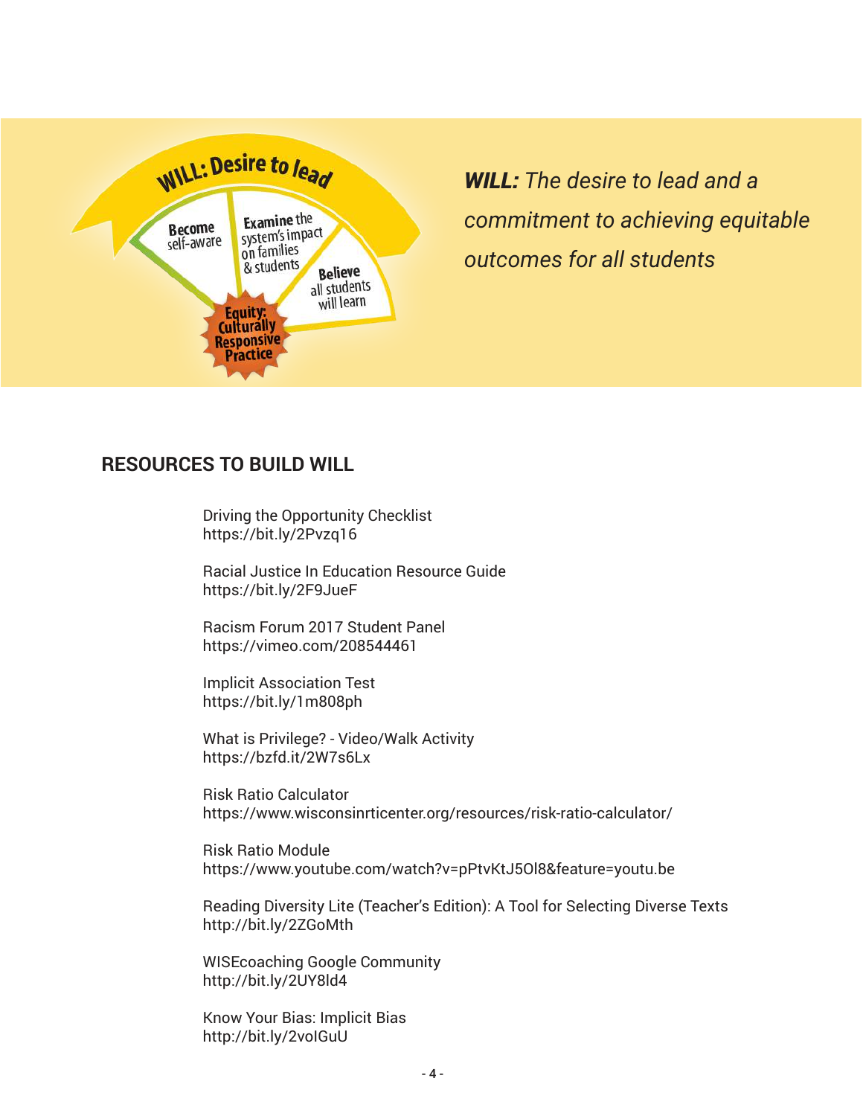

*WILL: The desire to lead and a commitment to achieving equitable outcomes for all students*

### **RESOURCES TO BUILD WILL**

Driving the Opportunity Checklist https://bit.ly/2Pvzq16

Racial Justice In Education Resource Guide https://bit.ly/2F9JueF

Racism Forum 2017 Student Panel https://vimeo.com/208544461

Implicit Association Test https://bit.ly/1m808ph

What is Privilege? - Video/Walk Activity https://bzfd.it/2W7s6Lx

Risk Ratio Calculator https://www.wisconsinrticenter.org/resources/risk-ratio-calculator/

Risk Ratio Module https://www.youtube.com/watch?v=pPtvKtJ5Ol8&feature=youtu.be

Reading Diversity Lite (Teacher's Edition): A Tool for Selecting Diverse Texts http://bit.ly/2ZGoMth

WISEcoaching Google Community http://bit.ly/2UY8ld4

Know Your Bias: Implicit Bias http://bit.ly/2voIGuU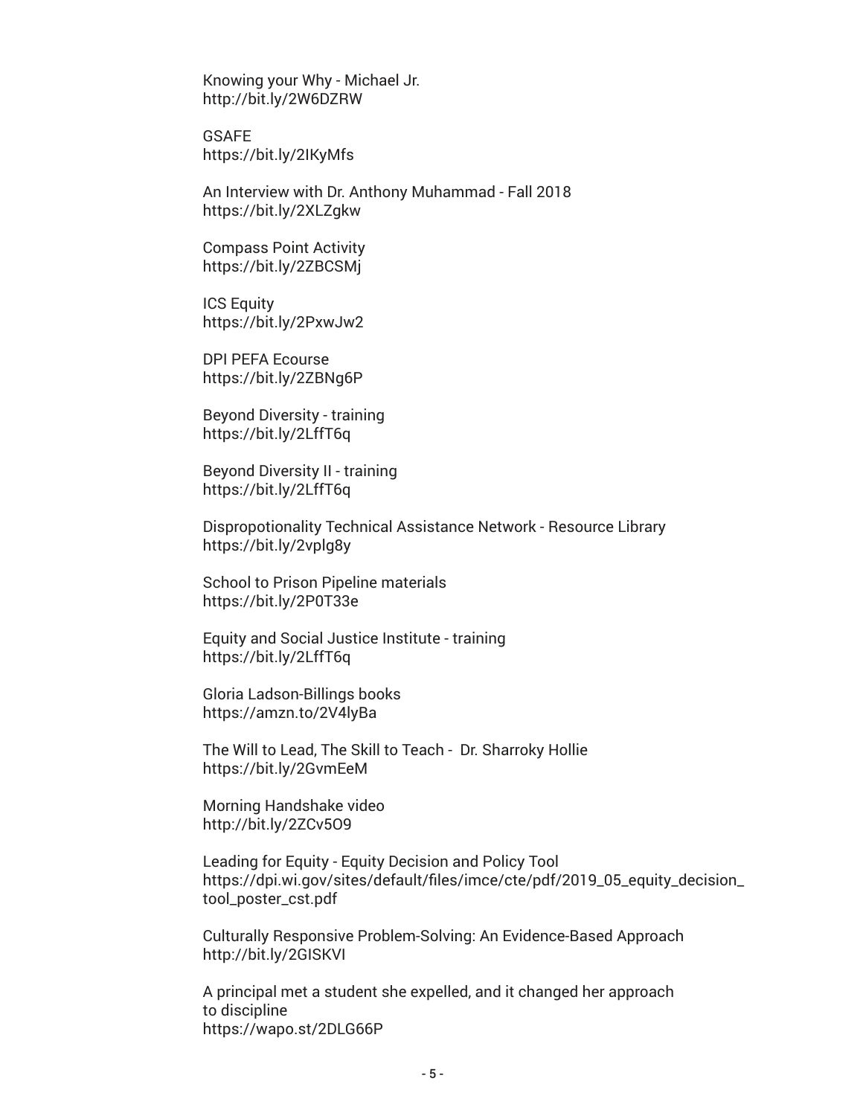Knowing your Why - Michael Jr. http://bit.ly/2W6DZRW

GSAFE https://bit.ly/2IKyMfs

An Interview with Dr. Anthony Muhammad - Fall 2018 https://bit.ly/2XLZgkw

Compass Point Activity https://bit.ly/2ZBCSMj

ICS Equity https://bit.ly/2PxwJw2

DPI PEFA Ecourse https://bit.ly/2ZBNg6P

Beyond Diversity - training https://bit.ly/2LffT6q

Beyond Diversity II - training https://bit.ly/2LffT6q

Dispropotionality Technical Assistance Network - Resource Library https://bit.ly/2vplg8y

School to Prison Pipeline materials https://bit.ly/2P0T33e

Equity and Social Justice Institute - training https://bit.ly/2LffT6q

Gloria Ladson-Billings books https://amzn.to/2V4lyBa

The Will to Lead, The Skill to Teach - Dr. Sharroky Hollie https://bit.ly/2GvmEeM

Morning Handshake video http://bit.ly/2ZCv5O9

Leading for Equity - Equity Decision and Policy Tool https://dpi.wi.gov/sites/default/files/imce/cte/pdf/2019\_05\_equity\_decision\_ tool\_poster\_cst.pdf

Culturally Responsive Problem-Solving: An Evidence-Based Approach http://bit.ly/2GISKVI

A principal met a student she expelled, and it changed her approach to discipline https://wapo.st/2DLG66P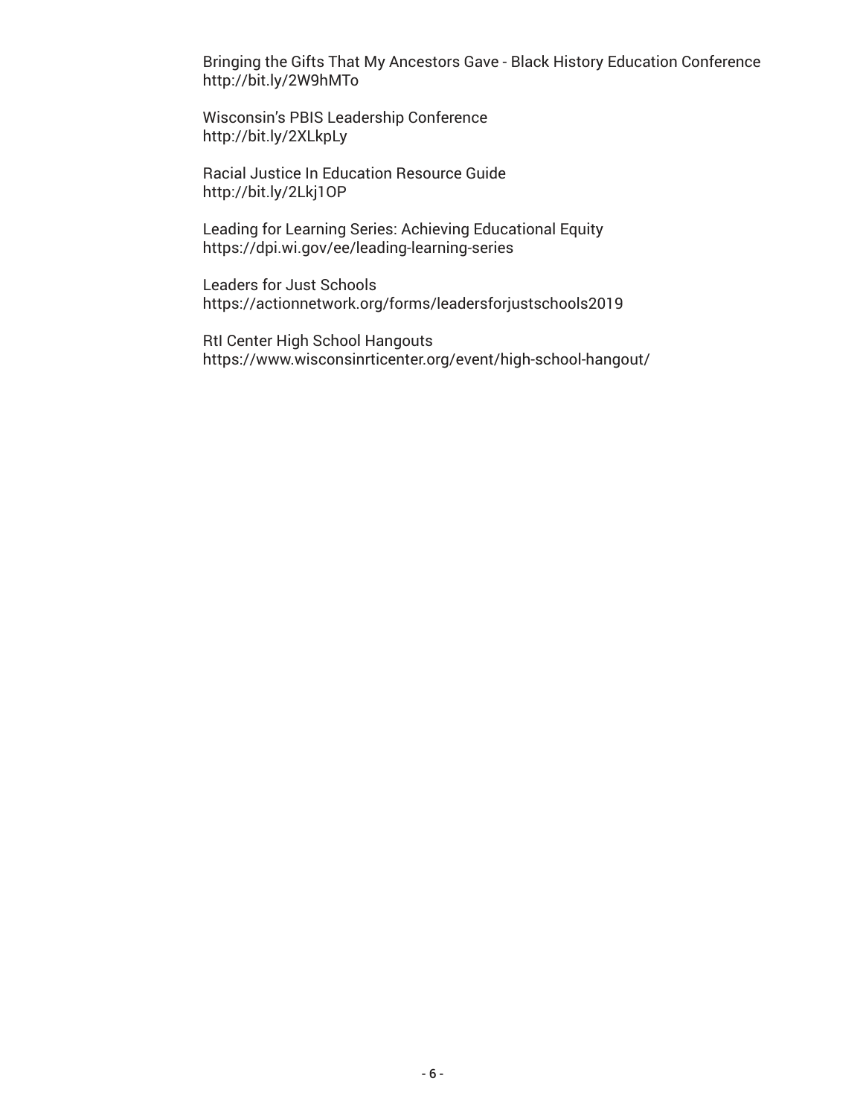Bringing the Gifts That My Ancestors Gave - Black History Education Conference http://bit.ly/2W9hMTo

Wisconsin's PBIS Leadership Conference http://bit.ly/2XLkpLy

Racial Justice In Education Resource Guide http://bit.ly/2Lkj1OP

Leading for Learning Series: Achieving Educational Equity https://dpi.wi.gov/ee/leading-learning-series

Leaders for Just Schools https://actionnetwork.org/forms/leadersforjustschools2019

RtI Center High School Hangouts https://www.wisconsinrticenter.org/event/high-school-hangout/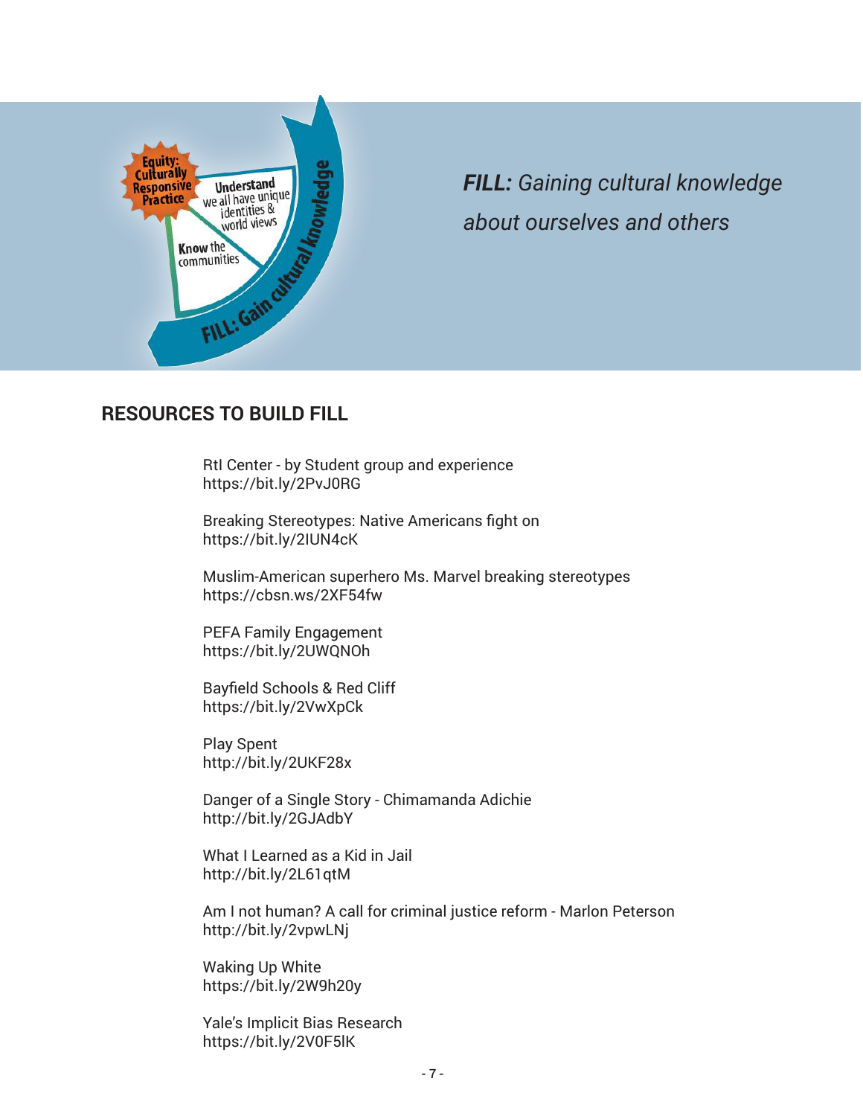

*FILL: Gaining cultural knowledge about ourselves and others*

### **RESOURCES TO BUILD FILL**

RtI Center - by Student group and experience https://bit.ly/2PvJ0RG

Breaking Stereotypes: Native Americans fight on https://bit.ly/2IUN4cK

 Muslim-American superhero Ms. Marvel breaking stereotypes https://cbsn.ws/2XF54fw

PEFA Family Engagement https://bit.ly/2UWQNOh

Bayfield Schools & Red Cliff https://bit.ly/2VwXpCk

Play Spent http://bit.ly/2UKF28x

Danger of a Single Story - Chimamanda Adichie http://bit.ly/2GJAdbY

What I Learned as a Kid in Jail http://bit.ly/2L61qtM

Am I not human? A call for criminal justice reform - Marlon Peterson http://bit.ly/2vpwLNj

Waking Up White https://bit.ly/2W9h20y

Yale's Implicit Bias Research https://bit.ly/2V0F5lK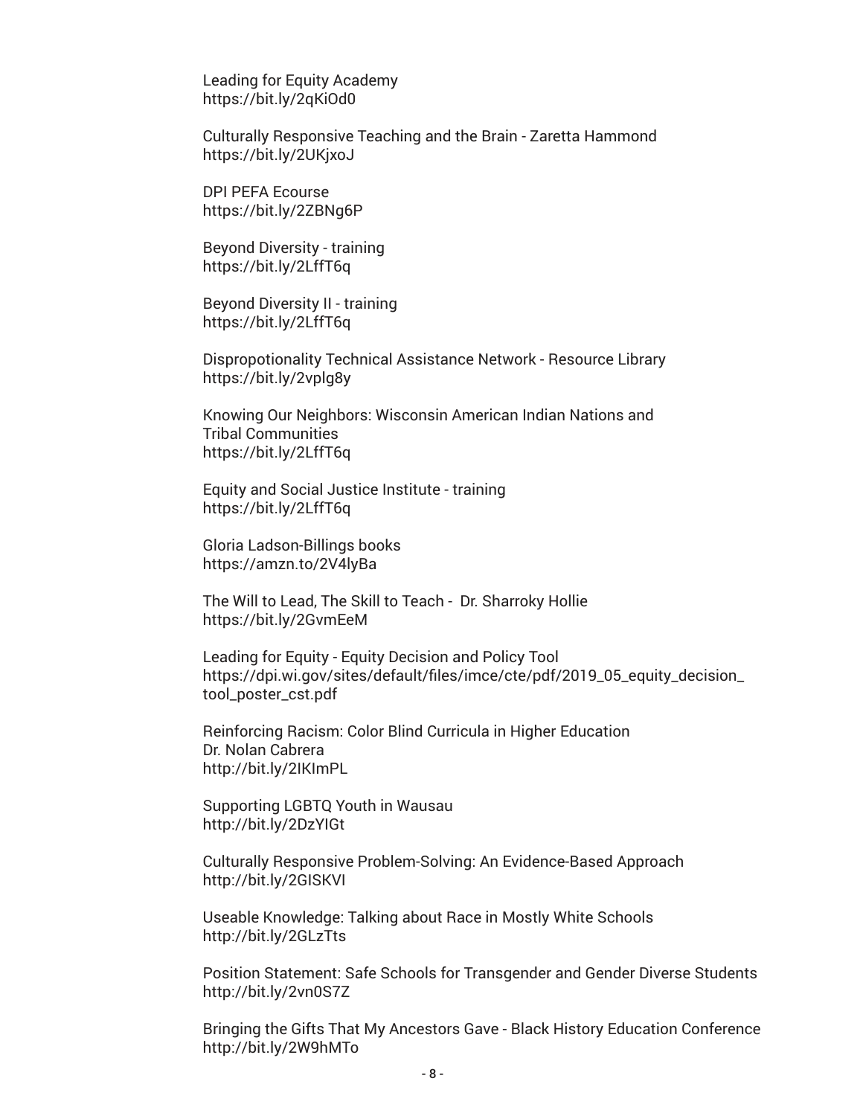Leading for Equity Academy https://bit.ly/2qKiOd0

Culturally Responsive Teaching and the Brain - Zaretta Hammond https://bit.ly/2UKjxoJ

DPI PEFA Ecourse https://bit.ly/2ZBNg6P

Beyond Diversity - training https://bit.ly/2LffT6q

Beyond Diversity II - training https://bit.ly/2LffT6q

Dispropotionality Technical Assistance Network - Resource Library https://bit.ly/2vplg8y

Knowing Our Neighbors: Wisconsin American Indian Nations and Tribal Communities https://bit.ly/2LffT6q

Equity and Social Justice Institute - training https://bit.ly/2LffT6q

Gloria Ladson-Billings books https://amzn.to/2V4lyBa

The Will to Lead, The Skill to Teach - Dr. Sharroky Hollie https://bit.ly/2GvmEeM

Leading for Equity - Equity Decision and Policy Tool https://dpi.wi.gov/sites/default/files/imce/cte/pdf/2019\_05\_equity\_decision\_ tool\_poster\_cst.pdf

Reinforcing Racism: Color Blind Curricula in Higher Education Dr. Nolan Cabrera http://bit.ly/2IKImPL

Supporting LGBTQ Youth in Wausau http://bit.ly/2DzYIGt

Culturally Responsive Problem-Solving: An Evidence-Based Approach http://bit.ly/2GISKVI

Useable Knowledge: Talking about Race in Mostly White Schools http://bit.ly/2GLzTts

Position Statement: Safe Schools for Transgender and Gender Diverse Students http://bit.ly/2vn0S7Z

Bringing the Gifts That My Ancestors Gave - Black History Education Conference http://bit.ly/2W9hMTo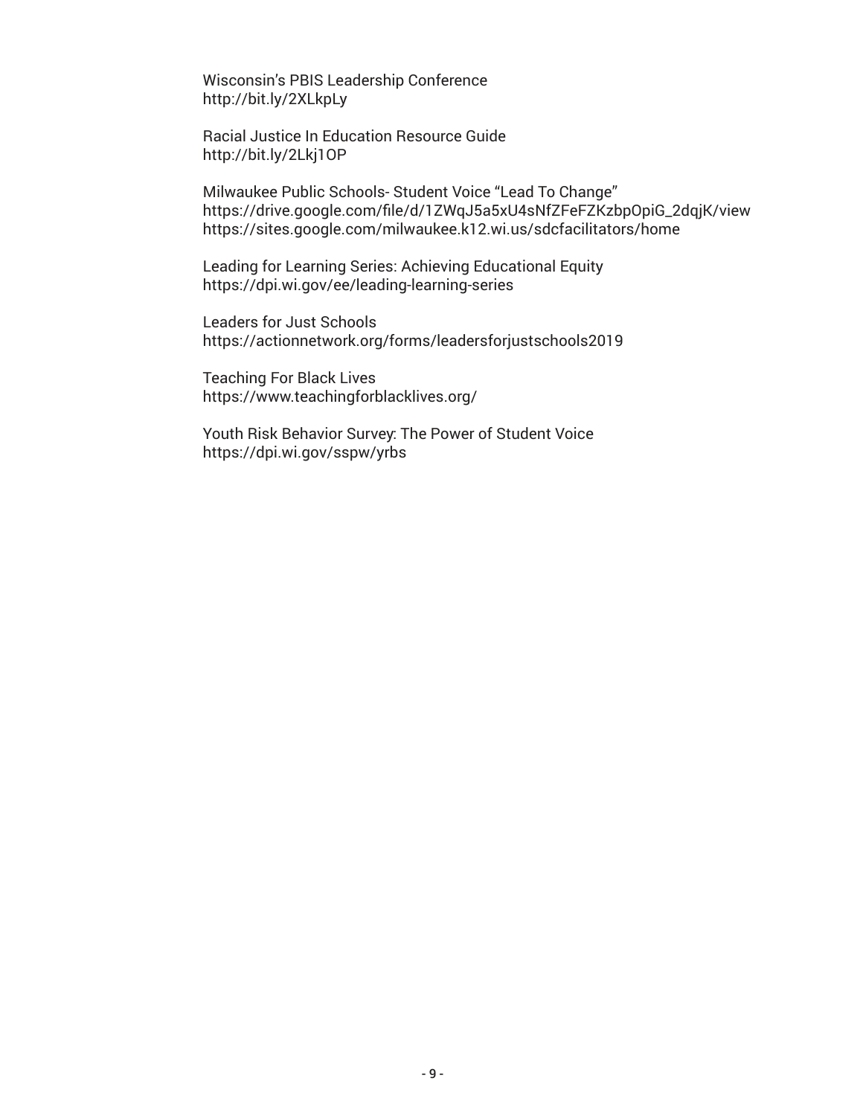Wisconsin's PBIS Leadership Conference http://bit.ly/2XLkpLy

Racial Justice In Education Resource Guide http://bit.ly/2Lkj1OP

Milwaukee Public Schools- Student Voice "Lead To Change" https://drive.google.com/file/d/1ZWqJ5a5xU4sNfZFeFZKzbpOpiG\_2dqjK/view https://sites.google.com/milwaukee.k12.wi.us/sdcfacilitators/home

Leading for Learning Series: Achieving Educational Equity https://dpi.wi.gov/ee/leading-learning-series

Leaders for Just Schools https://actionnetwork.org/forms/leadersforjustschools2019

Teaching For Black Lives https://www.teachingforblacklives.org/

Youth Risk Behavior Survey: The Power of Student Voice https://dpi.wi.gov/sspw/yrbs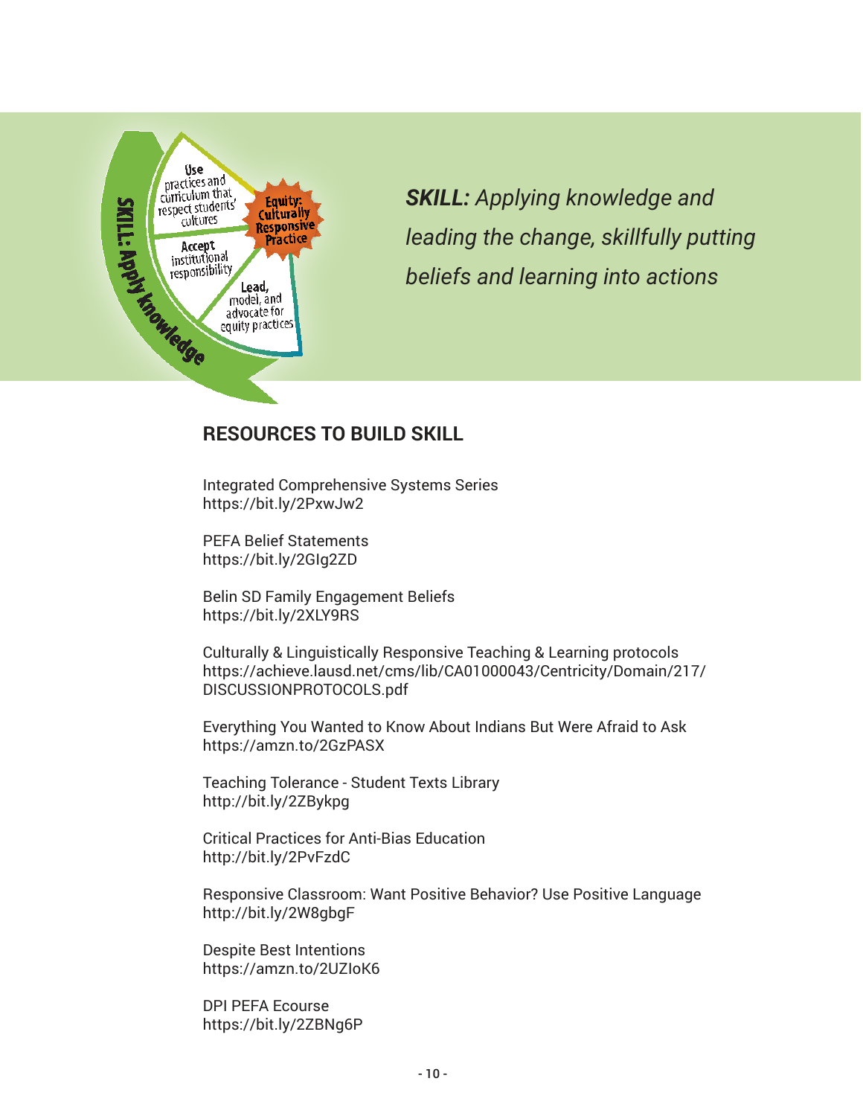

*SKILL: Applying knowledge and leading the change, skillfully putting beliefs and learning into actions* 

## **RESOURCES TO BUILD SKILL**

Integrated Comprehensive Systems Series https://bit.ly/2PxwJw2

PEFA Belief Statements https://bit.ly/2GIg2ZD

Belin SD Family Engagement Beliefs https://bit.ly/2XLY9RS

Culturally & Linguistically Responsive Teaching & Learning protocols https://achieve.lausd.net/cms/lib/CA01000043/Centricity/Domain/217/ DISCUSSIONPROTOCOLS.pdf

Everything You Wanted to Know About Indians But Were Afraid to Ask https://amzn.to/2GzPASX

Teaching Tolerance - Student Texts Library http://bit.ly/2ZBykpg

Critical Practices for Anti-Bias Education http://bit.ly/2PvFzdC

Responsive Classroom: Want Positive Behavior? Use Positive Language http://bit.ly/2W8gbgF

Despite Best Intentions https://amzn.to/2UZIoK6

DPI PEFA Ecourse https://bit.ly/2ZBNg6P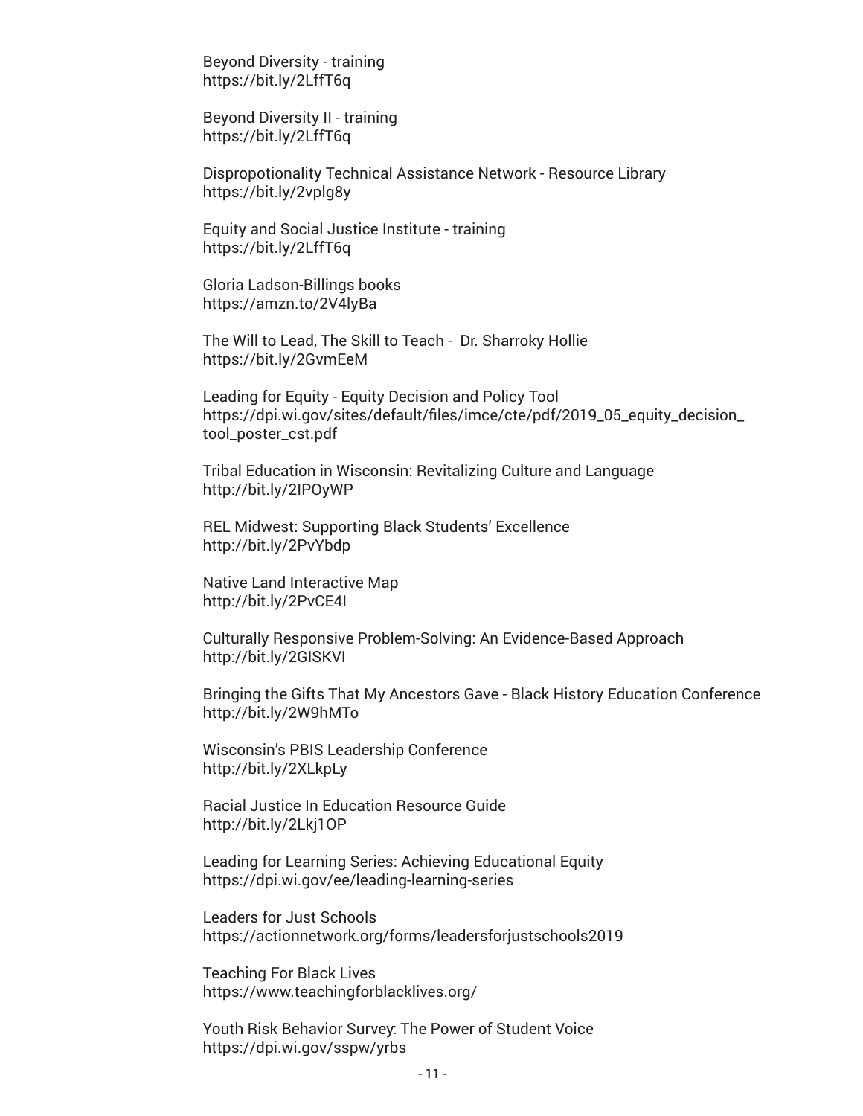Beyond Diversity - training https://bit.ly/2LffT6q

Beyond Diversity II - training https://bit.ly/2LffT6q

Dispropotionality Technical Assistance Network - Resource Library https://bit.ly/2vplg8y

Equity and Social Justice Institute - training https://bit.ly/2LffT6q

Gloria Ladson-Billings books https://amzn.to/2V4lyBa

The Will to Lead, The Skill to Teach - Dr. Sharroky Hollie https://bit.ly/2GvmEeM

Leading for Equity - Equity Decision and Policy Tool https://dpi.wi.gov/sites/default/files/imce/cte/pdf/2019\_05\_equity\_decision\_ tool\_poster\_cst.pdf

Tribal Education in Wisconsin: Revitalizing Culture and Language http://bit.ly/2IPOyWP

REL Midwest: Supporting Black Students' Excellence http://bit.ly/2PvYbdp

Native Land Interactive Map http://bit.ly/2PvCE4I

Culturally Responsive Problem-Solving: An Evidence-Based Approach http://bit.ly/2GISKVI

Bringing the Gifts That My Ancestors Gave - Black History Education Conference http://bit.ly/2W9hMTo

Wisconsin's PBIS Leadership Conference http://bit.ly/2XLkpLy

Racial Justice In Education Resource Guide http://bit.ly/2Lkj1OP

Leading for Learning Series: Achieving Educational Equity https://dpi.wi.gov/ee/leading-learning-series

Leaders for Just Schools https://actionnetwork.org/forms/leadersforjustschools2019

Teaching For Black Lives https://www.teachingforblacklives.org/

Youth Risk Behavior Survey: The Power of Student Voice https://dpi.wi.gov/sspw/yrbs